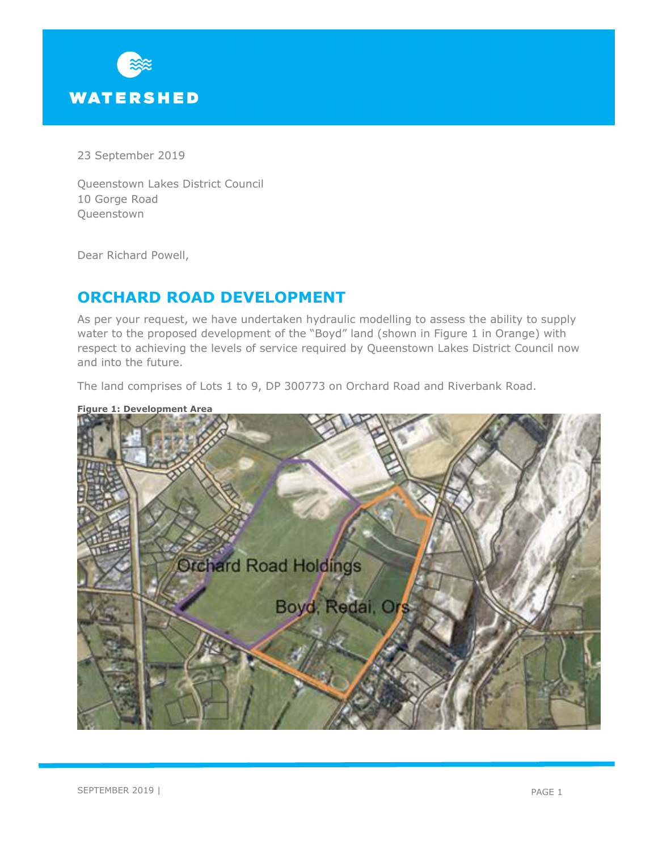

23 September 2019

Queenstown Lakes District Council 10 Gorge Road Queenstown

Dear Richard Powell,

# **ORCHARD ROAD DEVELOPMENT**

As per your request, we have undertaken hydraulic modelling to assess the ability to supply water to the proposed development of the "Boyd" land (shown in Figure 1 in Orange) with respect to achieving the levels of service required by Queenstown Lakes District Council now and into the future.

The land comprises of Lots 1 to 9, DP 300773 on Orchard Road and Riverbank Road.



**Figure 1: Development Area**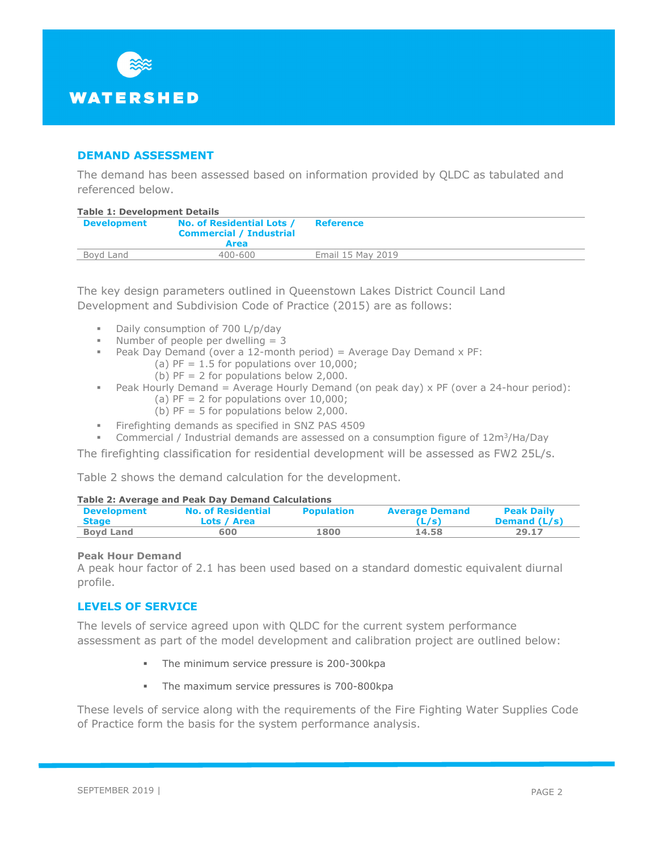

# **DEMAND ASSESSMENT**

The demand has been assessed based on information provided by QLDC as tabulated and referenced below.

#### **Table 1: Development Details**

| $1401C + 16C$      |                                                             |                   |  |  |  |
|--------------------|-------------------------------------------------------------|-------------------|--|--|--|
| <b>Development</b> | No. of Residential Lots /<br><b>Commercial / Industrial</b> | <b>Reference</b>  |  |  |  |
|                    | <b>Area</b>                                                 |                   |  |  |  |
| Boyd Land          | $400 - 600$                                                 | Email 15 May 2019 |  |  |  |
|                    |                                                             |                   |  |  |  |

The key design parameters outlined in Queenstown Lakes District Council Land Development and Subdivision Code of Practice (2015) are as follows:

- Daily consumption of 700 L/p/day
- Number of people per dwelling  $=$  3
- Peak Day Demand (over a 12-month period) = Average Day Demand  $x$  PF:
	- (a)  $PF = 1.5$  for populations over 10,000;
	- (b)  $PF = 2$  for populations below 2,000.
- Peak Hourly Demand = Average Hourly Demand (on peak day)  $\times$  PF (over a 24-hour period): (a)  $PF = 2$  for populations over  $10,000$ ;
	- (b)  $PF = 5$  for populations below 2,000.
- **Firefighting demands as specified in SNZ PAS 4509**
- Commercial / Industrial demands are assessed on a consumption figure of  $12m^3$ /Ha/Day

The firefighting classification for residential development will be assessed as FW2 25L/s.

Table 2 shows the demand calculation for the development.

#### **Table 2: Average and Peak Day Demand Calculations**

| <b>Development</b> | <b>No. of Residential</b> | <b>Population</b> | <b>Average Demand</b> | <b>Peak Daily</b> |
|--------------------|---------------------------|-------------------|-----------------------|-------------------|
| <b>Stage</b>       | Lots / Area               |                   | (L/s)                 | Demand (L/s)      |
| <b>Boyd Land</b>   | 600                       | 1800              | 14.58                 | 29.17             |

### **Peak Hour Demand**

A peak hour factor of 2.1 has been used based on a standard domestic equivalent diurnal profile.

# **LEVELS OF SERVICE**

The levels of service agreed upon with QLDC for the current system performance assessment as part of the model development and calibration project are outlined below:

- The minimum service pressure is 200-300kpa
- The maximum service pressures is 700-800kpa

These levels of service along with the requirements of the Fire Fighting Water Supplies Code of Practice form the basis for the system performance analysis.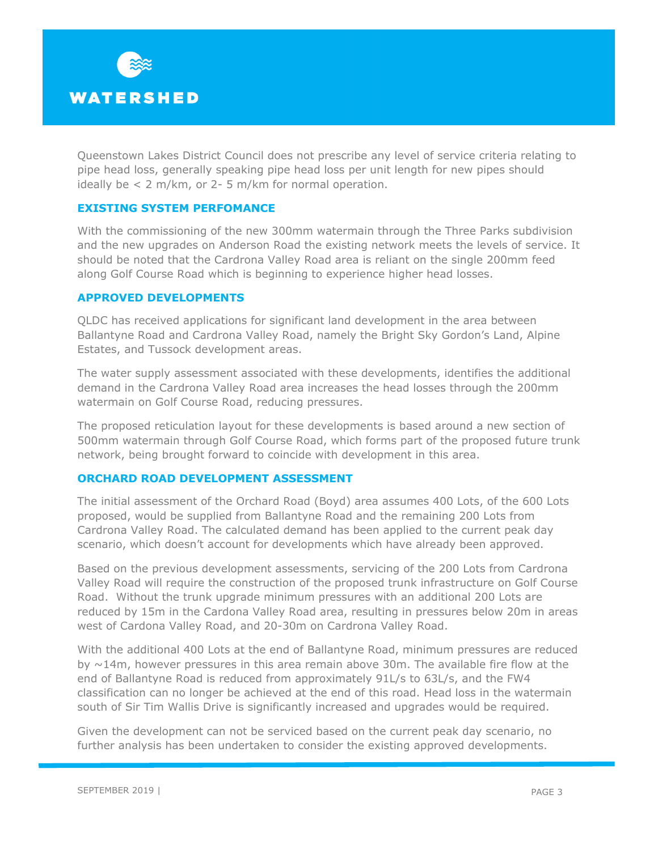

Queenstown Lakes District Council does not prescribe any level of service criteria relating to pipe head loss, generally speaking pipe head loss per unit length for new pipes should ideally be < 2 m/km, or 2- 5 m/km for normal operation.

# **EXISTING SYSTEM PERFOMANCE**

With the commissioning of the new 300mm watermain through the Three Parks subdivision and the new upgrades on Anderson Road the existing network meets the levels of service. It should be noted that the Cardrona Valley Road area is reliant on the single 200mm feed along Golf Course Road which is beginning to experience higher head losses.

# **APPROVED DEVELOPMENTS**

QLDC has received applications for significant land development in the area between Ballantyne Road and Cardrona Valley Road, namely the Bright Sky Gordon's Land, Alpine Estates, and Tussock development areas.

The water supply assessment associated with these developments, identifies the additional demand in the Cardrona Valley Road area increases the head losses through the 200mm watermain on Golf Course Road, reducing pressures.

The proposed reticulation layout for these developments is based around a new section of 500mm watermain through Golf Course Road, which forms part of the proposed future trunk network, being brought forward to coincide with development in this area.

## **ORCHARD ROAD DEVELOPMENT ASSESSMENT**

The initial assessment of the Orchard Road (Boyd) area assumes 400 Lots, of the 600 Lots proposed, would be supplied from Ballantyne Road and the remaining 200 Lots from Cardrona Valley Road. The calculated demand has been applied to the current peak day scenario, which doesn't account for developments which have already been approved.

Based on the previous development assessments, servicing of the 200 Lots from Cardrona Valley Road will require the construction of the proposed trunk infrastructure on Golf Course Road. Without the trunk upgrade minimum pressures with an additional 200 Lots are reduced by 15m in the Cardona Valley Road area, resulting in pressures below 20m in areas west of Cardona Valley Road, and 20-30m on Cardrona Valley Road.

With the additional 400 Lots at the end of Ballantyne Road, minimum pressures are reduced by  $\sim$ 14m, however pressures in this area remain above 30m. The available fire flow at the end of Ballantyne Road is reduced from approximately 91L/s to 63L/s, and the FW4 classification can no longer be achieved at the end of this road. Head loss in the watermain south of Sir Tim Wallis Drive is significantly increased and upgrades would be required.

Given the development can not be serviced based on the current peak day scenario, no further analysis has been undertaken to consider the existing approved developments.